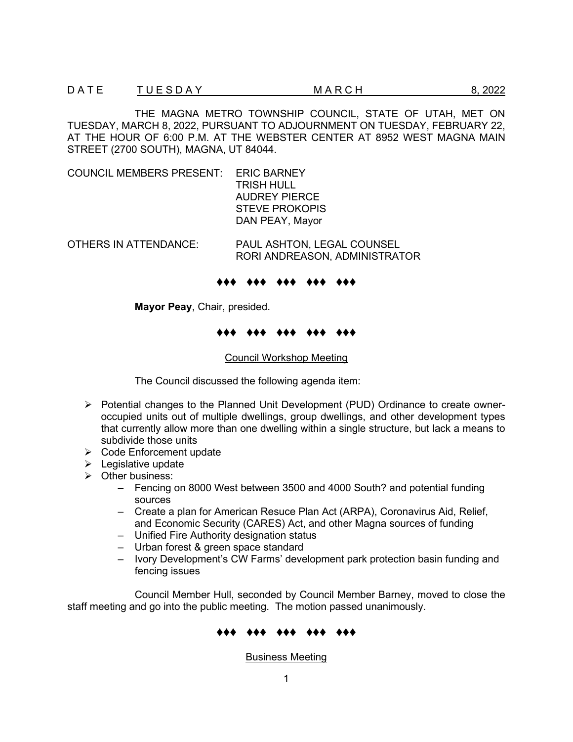THE MAGNA METRO TOWNSHIP COUNCIL, STATE OF UTAH, MET ON TUESDAY, MARCH 8, 2022, PURSUANT TO ADJOURNMENT ON TUESDAY, FEBRUARY 22, AT THE HOUR OF 6:00 P.M. AT THE WEBSTER CENTER AT 8952 WEST MAGNA MAIN STREET (2700 SOUTH), MAGNA, UT 84044.

COUNCIL MEMBERS PRESENT: ERIC BARNEY

 TRISH HULL AUDREY PIERCE STEVE PROKOPIS DAN PEAY, Mayor

OTHERS IN ATTENDANCE: PAUL ASHTON, LEGAL COUNSEL RORI ANDREASON, ADMINISTRATOR

### ♦♦♦ ♦♦♦ ♦♦♦ ♦♦♦ ♦♦♦

**Mayor Peay**, Chair, presided.

### ♦♦♦ ♦♦♦ ♦♦♦ ♦♦♦ ♦♦♦

### Council Workshop Meeting

The Council discussed the following agenda item:

- $\triangleright$  Potential changes to the Planned Unit Development (PUD) Ordinance to create owneroccupied units out of multiple dwellings, group dwellings, and other development types that currently allow more than one dwelling within a single structure, but lack a means to subdivide those units
- $\triangleright$  Code Enforcement update
- $\blacktriangleright$  Legislative update
- $\triangleright$  Other business:
	- ‒ Fencing on 8000 West between 3500 and 4000 South? and potential funding sources
	- ‒ Create a plan for American Resuce Plan Act (ARPA), Coronavirus Aid, Relief, and Economic Security (CARES) Act, and other Magna sources of funding
	- ‒ Unified Fire Authority designation status
	- ‒ Urban forest & green space standard
	- Ivory Development's CW Farms' development park protection basin funding and fencing issues

Council Member Hull, seconded by Council Member Barney, moved to close the staff meeting and go into the public meeting. The motion passed unanimously.

# ♦♦♦ ♦♦♦ ♦♦♦ ♦♦♦ ♦♦♦

Business Meeting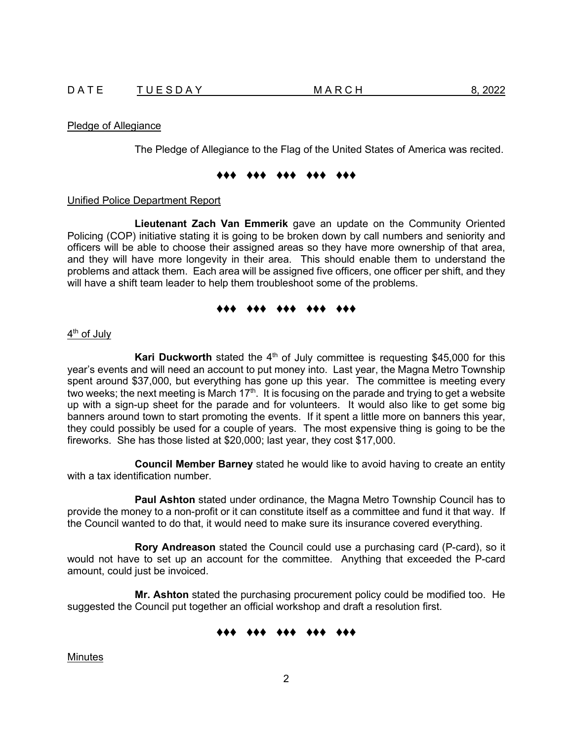### Pledge of Allegiance

The Pledge of Allegiance to the Flag of the United States of America was recited.

## ♦♦♦ ♦♦♦ ♦♦♦ ♦♦♦ ♦♦♦

### Unified Police Department Report

**Lieutenant Zach Van Emmerik** gave an update on the Community Oriented Policing (COP) initiative stating it is going to be broken down by call numbers and seniority and officers will be able to choose their assigned areas so they have more ownership of that area, and they will have more longevity in their area. This should enable them to understand the problems and attack them. Each area will be assigned five officers, one officer per shift, and they will have a shift team leader to help them troubleshoot some of the problems.

# ♦♦♦ ♦♦♦ ♦♦♦ ♦♦♦ ♦♦♦

# 4<sup>th</sup> of July

**Kari Duckworth** stated the  $4<sup>th</sup>$  of July committee is requesting \$45,000 for this year's events and will need an account to put money into. Last year, the Magna Metro Township spent around \$37,000, but everything has gone up this year. The committee is meeting every two weeks; the next meeting is March  $17<sup>th</sup>$ . It is focusing on the parade and trying to get a website up with a sign-up sheet for the parade and for volunteers. It would also like to get some big banners around town to start promoting the events. If it spent a little more on banners this year, they could possibly be used for a couple of years. The most expensive thing is going to be the fireworks. She has those listed at \$20,000; last year, they cost \$17,000.

**Council Member Barney** stated he would like to avoid having to create an entity with a tax identification number.

**Paul Ashton** stated under ordinance, the Magna Metro Township Council has to provide the money to a non-profit or it can constitute itself as a committee and fund it that way. If the Council wanted to do that, it would need to make sure its insurance covered everything.

**Rory Andreason** stated the Council could use a purchasing card (P-card), so it would not have to set up an account for the committee. Anything that exceeded the P-card amount, could just be invoiced.

**Mr. Ashton** stated the purchasing procurement policy could be modified too. He suggested the Council put together an official workshop and draft a resolution first.

# ♦♦♦ ♦♦♦ ♦♦♦ ♦♦♦ ♦♦♦

**Minutes**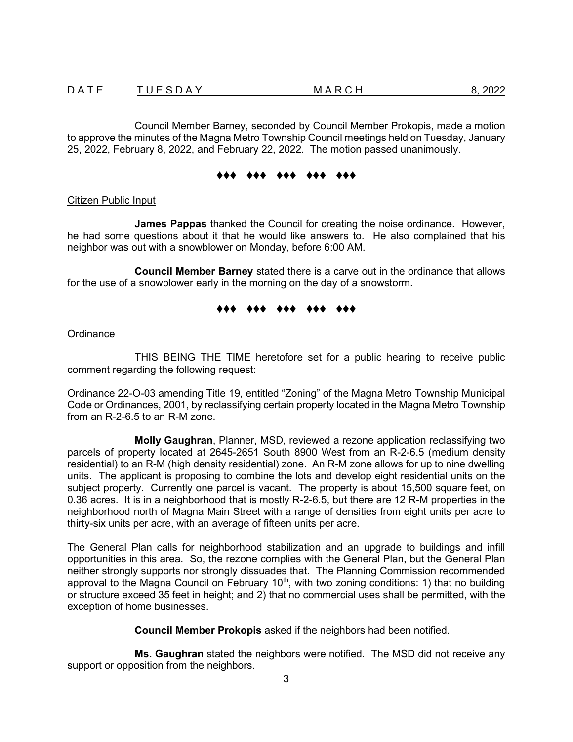Council Member Barney, seconded by Council Member Prokopis, made a motion to approve the minutes of the Magna Metro Township Council meetings held on Tuesday, January 25, 2022, February 8, 2022, and February 22, 2022. The motion passed unanimously.

## ♦♦♦ ♦♦♦ ♦♦♦ ♦♦♦ ♦♦♦

# Citizen Public Input

**James Pappas** thanked the Council for creating the noise ordinance. However, he had some questions about it that he would like answers to. He also complained that his neighbor was out with a snowblower on Monday, before 6:00 AM.

**Council Member Barney** stated there is a carve out in the ordinance that allows for the use of a snowblower early in the morning on the day of a snowstorm.

# ♦♦♦ ♦♦♦ ♦♦♦ ♦♦♦ ♦♦♦

**Ordinance** 

THIS BEING THE TIME heretofore set for a public hearing to receive public comment regarding the following request:

Ordinance 22-O-03 amending Title 19, entitled "Zoning" of the Magna Metro Township Municipal Code or Ordinances, 2001, by reclassifying certain property located in the Magna Metro Township from an R-2-6.5 to an R-M zone.

**Molly Gaughran**, Planner, MSD, reviewed a rezone application reclassifying two parcels of property located at 2645-2651 South 8900 West from an R-2-6.5 (medium density residential) to an R-M (high density residential) zone. An R-M zone allows for up to nine dwelling units. The applicant is proposing to combine the lots and develop eight residential units on the subject property. Currently one parcel is vacant. The property is about 15,500 square feet, on 0.36 acres. It is in a neighborhood that is mostly R-2-6.5, but there are 12 R-M properties in the neighborhood north of Magna Main Street with a range of densities from eight units per acre to thirty-six units per acre, with an average of fifteen units per acre.

The General Plan calls for neighborhood stabilization and an upgrade to buildings and infill opportunities in this area. So, the rezone complies with the General Plan, but the General Plan neither strongly supports nor strongly dissuades that. The Planning Commission recommended approval to the Magna Council on February 10<sup>th</sup>, with two zoning conditions: 1) that no building or structure exceed 35 feet in height; and 2) that no commercial uses shall be permitted, with the exception of home businesses.

**Council Member Prokopis** asked if the neighbors had been notified.

**Ms. Gaughran** stated the neighbors were notified. The MSD did not receive any support or opposition from the neighbors.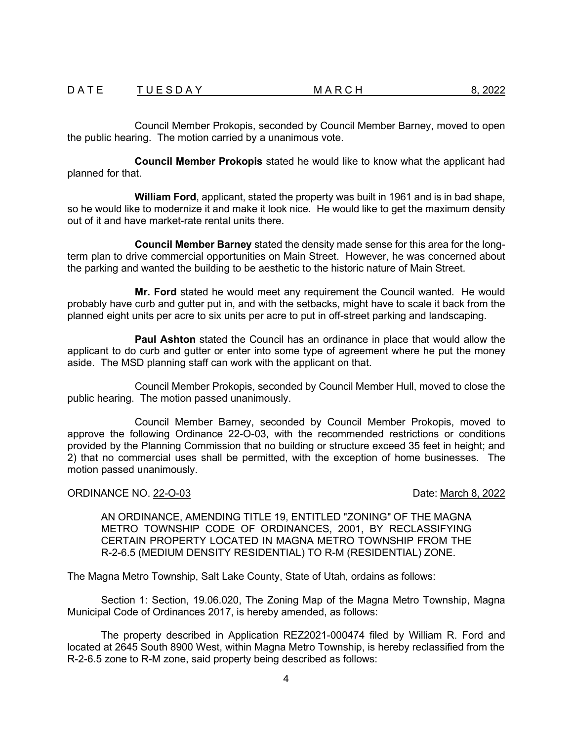Council Member Prokopis, seconded by Council Member Barney, moved to open the public hearing. The motion carried by a unanimous vote.

**Council Member Prokopis** stated he would like to know what the applicant had planned for that.

**William Ford**, applicant, stated the property was built in 1961 and is in bad shape, so he would like to modernize it and make it look nice. He would like to get the maximum density out of it and have market-rate rental units there.

**Council Member Barney** stated the density made sense for this area for the longterm plan to drive commercial opportunities on Main Street. However, he was concerned about the parking and wanted the building to be aesthetic to the historic nature of Main Street.

**Mr. Ford** stated he would meet any requirement the Council wanted. He would probably have curb and gutter put in, and with the setbacks, might have to scale it back from the planned eight units per acre to six units per acre to put in off-street parking and landscaping.

**Paul Ashton** stated the Council has an ordinance in place that would allow the applicant to do curb and gutter or enter into some type of agreement where he put the money aside. The MSD planning staff can work with the applicant on that.

Council Member Prokopis, seconded by Council Member Hull, moved to close the public hearing. The motion passed unanimously.

Council Member Barney, seconded by Council Member Prokopis, moved to approve the following Ordinance 22-O-03, with the recommended restrictions or conditions provided by the Planning Commission that no building or structure exceed 35 feet in height; and 2) that no commercial uses shall be permitted, with the exception of home businesses. The motion passed unanimously.

# ORDINANCE NO. 22-O-03 **Date:** March 8, 2022

AN ORDINANCE, AMENDING TITLE 19, ENTITLED "ZONING" OF THE MAGNA METRO TOWNSHIP CODE OF ORDINANCES, 2001, BY RECLASSIFYING CERTAIN PROPERTY LOCATED IN MAGNA METRO TOWNSHIP FROM THE R-2-6.5 (MEDIUM DENSITY RESIDENTIAL) TO R-M (RESIDENTIAL) ZONE.

The Magna Metro Township, Salt Lake County, State of Utah, ordains as follows:

Section 1: Section, 19.06.020, The Zoning Map of the Magna Metro Township, Magna Municipal Code of Ordinances 2017, is hereby amended, as follows:

The property described in Application REZ2021-000474 filed by William R. Ford and located at 2645 South 8900 West, within Magna Metro Township, is hereby reclassified from the R-2-6.5 zone to R-M zone, said property being described as follows: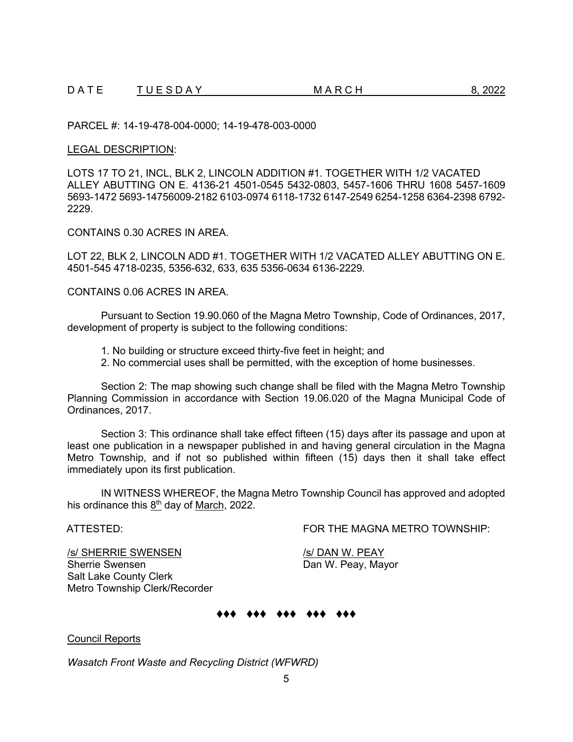PARCEL #: 14-19-478-004-0000; 14-19-478-003-0000

### LEGAL DESCRIPTION:

LOTS 17 TO 21, INCL, BLK 2, LINCOLN ADDITION #1. TOGETHER WITH 1/2 VACATED ALLEY ABUTTING ON E. 4136-21 4501-0545 5432-0803, 5457-1606 THRU 1608 5457-1609 5693-1472 5693-14756009-2182 6103-0974 6118-1732 6147-2549 6254-1258 6364-2398 6792- 2229.

CONTAINS 0.30 ACRES IN AREA.

LOT 22, BLK 2, LINCOLN ADD #1. TOGETHER WITH 1/2 VACATED ALLEY ABUTTING ON E. 4501-545 4718-0235, 5356-632, 633, 635 5356-0634 6136-2229.

CONTAINS 0.06 ACRES IN AREA.

Pursuant to Section 19.90.060 of the Magna Metro Township, Code of Ordinances, 2017, development of property is subject to the following conditions:

1. No building or structure exceed thirty-five feet in height; and

2. No commercial uses shall be permitted, with the exception of home businesses.

Section 2: The map showing such change shall be filed with the Magna Metro Township Planning Commission in accordance with Section 19.06.020 of the Magna Municipal Code of Ordinances, 2017.

Section 3: This ordinance shall take effect fifteen (15) days after its passage and upon at least one publication in a newspaper published in and having general circulation in the Magna Metro Township, and if not so published within fifteen (15) days then it shall take effect immediately upon its first publication.

IN WITNESS WHEREOF, the Magna Metro Township Council has approved and adopted his ordinance this  $8<sup>th</sup>$  day of March, 2022.

ATTESTED: FOR THE MAGNA METRO TOWNSHIP:

S / SHERRIE SWENSEN /s/ DAN W. PEAY<br>
Sherrie Swensen / Dan W. Peay, Ma Salt Lake County Clerk Metro Township Clerk/Recorder

Dan W. Peay, Mayor

# ♦♦♦ ♦♦♦ ♦♦♦ ♦♦♦ ♦♦♦

Council Reports

*Wasatch Front Waste and Recycling District (WFWRD)*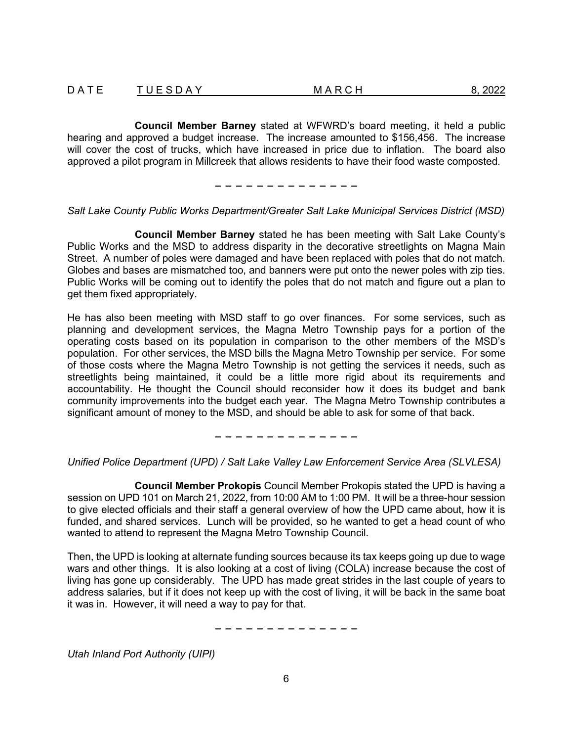| DATE | <b>TUESDAY</b> | MARCH | 8, 2022 |
|------|----------------|-------|---------|
|      |                |       |         |
|      |                |       |         |
|      |                |       |         |
|      |                |       |         |

**Council Member Barney** stated at WFWRD's board meeting, it held a public hearing and approved a budget increase. The increase amounted to \$156,456. The increase will cover the cost of trucks, which have increased in price due to inflation. The board also approved a pilot program in Millcreek that allows residents to have their food waste composted.

− − − − − − − − − − − − − −

# *Salt Lake County Public Works Department/Greater Salt Lake Municipal Services District (MSD)*

**Council Member Barney** stated he has been meeting with Salt Lake County's Public Works and the MSD to address disparity in the decorative streetlights on Magna Main Street. A number of poles were damaged and have been replaced with poles that do not match. Globes and bases are mismatched too, and banners were put onto the newer poles with zip ties. Public Works will be coming out to identify the poles that do not match and figure out a plan to get them fixed appropriately.

He has also been meeting with MSD staff to go over finances. For some services, such as planning and development services, the Magna Metro Township pays for a portion of the operating costs based on its population in comparison to the other members of the MSD's population. For other services, the MSD bills the Magna Metro Township per service. For some of those costs where the Magna Metro Township is not getting the services it needs, such as streetlights being maintained, it could be a little more rigid about its requirements and accountability. He thought the Council should reconsider how it does its budget and bank community improvements into the budget each year. The Magna Metro Township contributes a significant amount of money to the MSD, and should be able to ask for some of that back.

− − − − − − − − − − − − − −

*Unified Police Department (UPD) / Salt Lake Valley Law Enforcement Service Area (SLVLESA)*

**Council Member Prokopis** Council Member Prokopis stated the UPD is having a session on UPD 101 on March 21, 2022, from 10:00 AM to 1:00 PM. It will be a three-hour session to give elected officials and their staff a general overview of how the UPD came about, how it is funded, and shared services. Lunch will be provided, so he wanted to get a head count of who wanted to attend to represent the Magna Metro Township Council.

Then, the UPD is looking at alternate funding sources because its tax keeps going up due to wage wars and other things. It is also looking at a cost of living (COLA) increase because the cost of living has gone up considerably. The UPD has made great strides in the last couple of years to address salaries, but if it does not keep up with the cost of living, it will be back in the same boat it was in. However, it will need a way to pay for that.

− − − − − − − − − − − − − −

*Utah Inland Port Authority (UIPI)*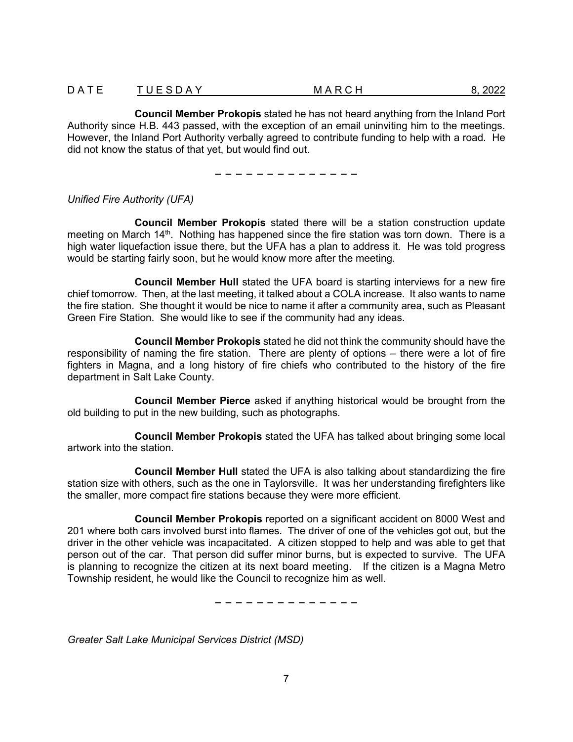| DATE | <b>TUESDAY</b> | MARCH | 8, 2022 |
|------|----------------|-------|---------|
|      |                |       |         |
|      |                |       |         |
|      |                |       |         |
|      |                |       |         |

**Council Member Prokopis** stated he has not heard anything from the Inland Port Authority since H.B. 443 passed, with the exception of an email uninviting him to the meetings. However, the Inland Port Authority verbally agreed to contribute funding to help with a road. He did not know the status of that yet, but would find out.

− − − − − − − − − − − − − −

# *Unified Fire Authority (UFA)*

**Council Member Prokopis** stated there will be a station construction update meeting on March 14<sup>th</sup>. Nothing has happened since the fire station was torn down. There is a high water liquefaction issue there, but the UFA has a plan to address it. He was told progress would be starting fairly soon, but he would know more after the meeting.

**Council Member Hull** stated the UFA board is starting interviews for a new fire chief tomorrow. Then, at the last meeting, it talked about a COLA increase. It also wants to name the fire station. She thought it would be nice to name it after a community area, such as Pleasant Green Fire Station. She would like to see if the community had any ideas.

**Council Member Prokopis** stated he did not think the community should have the responsibility of naming the fire station. There are plenty of options – there were a lot of fire fighters in Magna, and a long history of fire chiefs who contributed to the history of the fire department in Salt Lake County.

**Council Member Pierce** asked if anything historical would be brought from the old building to put in the new building, such as photographs.

**Council Member Prokopis** stated the UFA has talked about bringing some local artwork into the station.

**Council Member Hull** stated the UFA is also talking about standardizing the fire station size with others, such as the one in Taylorsville. It was her understanding firefighters like the smaller, more compact fire stations because they were more efficient.

**Council Member Prokopis** reported on a significant accident on 8000 West and 201 where both cars involved burst into flames. The driver of one of the vehicles got out, but the driver in the other vehicle was incapacitated. A citizen stopped to help and was able to get that person out of the car. That person did suffer minor burns, but is expected to survive. The UFA is planning to recognize the citizen at its next board meeting. If the citizen is a Magna Metro Township resident, he would like the Council to recognize him as well.

− − − − − − − − − − − − − −

*Greater Salt Lake Municipal Services District (MSD)*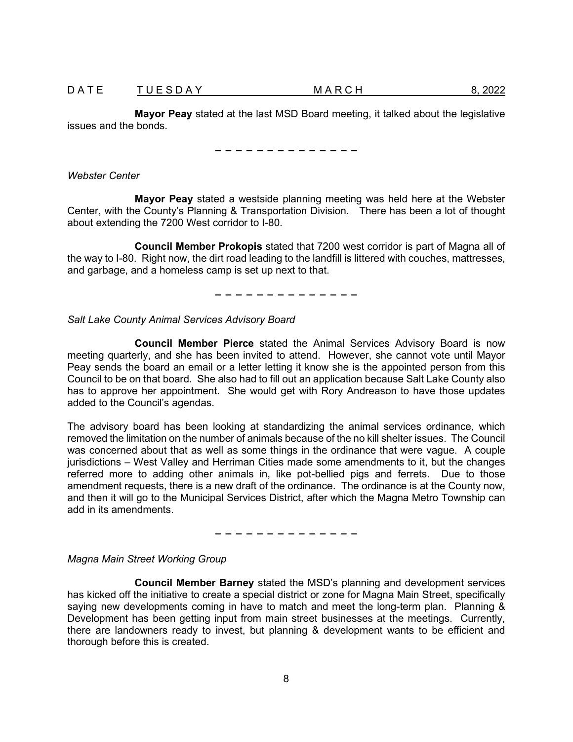D A T E T U E S D A Y A G A M A R C H 8, 2022

**Mayor Peay** stated at the last MSD Board meeting, it talked about the legislative issues and the bonds.

− − − − − − − − − − − − − −

*Webster Center*

**Mayor Peay** stated a westside planning meeting was held here at the Webster Center, with the County's Planning & Transportation Division. There has been a lot of thought about extending the 7200 West corridor to I-80.

**Council Member Prokopis** stated that 7200 west corridor is part of Magna all of the way to I-80. Right now, the dirt road leading to the landfill is littered with couches, mattresses, and garbage, and a homeless camp is set up next to that.

− − − − − − − − − − − − − −

*Salt Lake County Animal Services Advisory Board*

**Council Member Pierce** stated the Animal Services Advisory Board is now meeting quarterly, and she has been invited to attend. However, she cannot vote until Mayor Peay sends the board an email or a letter letting it know she is the appointed person from this Council to be on that board. She also had to fill out an application because Salt Lake County also has to approve her appointment. She would get with Rory Andreason to have those updates added to the Council's agendas.

The advisory board has been looking at standardizing the animal services ordinance, which removed the limitation on the number of animals because of the no kill shelter issues. The Council was concerned about that as well as some things in the ordinance that were vague. A couple jurisdictions – West Valley and Herriman Cities made some amendments to it, but the changes referred more to adding other animals in, like pot-bellied pigs and ferrets. Due to those amendment requests, there is a new draft of the ordinance. The ordinance is at the County now, and then it will go to the Municipal Services District, after which the Magna Metro Township can add in its amendments.

− − − − − − − − − − − − − −

*Magna Main Street Working Group*

**Council Member Barney** stated the MSD's planning and development services has kicked off the initiative to create a special district or zone for Magna Main Street, specifically saying new developments coming in have to match and meet the long-term plan. Planning & Development has been getting input from main street businesses at the meetings. Currently, there are landowners ready to invest, but planning & development wants to be efficient and thorough before this is created.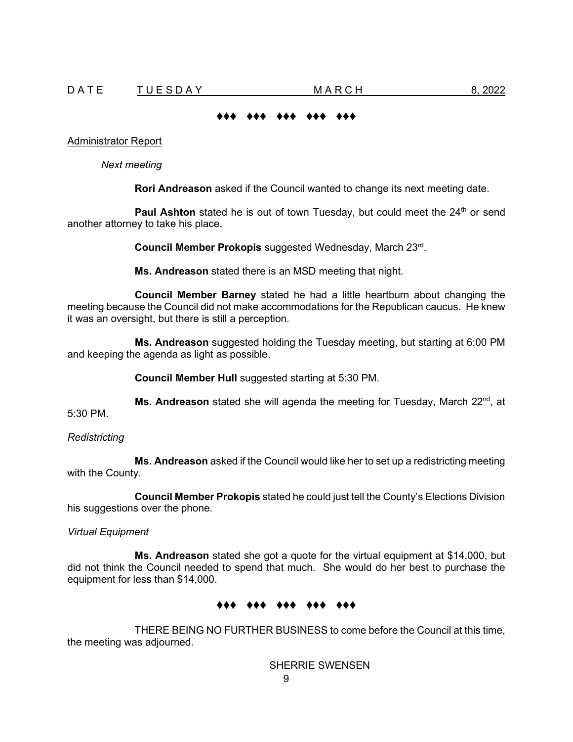# ♦♦♦ ♦♦♦ ♦♦♦ ♦♦♦ ♦♦♦

#### Administrator Report

*Next meeting*

**Rori Andreason** asked if the Council wanted to change its next meeting date.

Paul Ashton stated he is out of town Tuesday, but could meet the 24<sup>th</sup> or send another attorney to take his place.

**Council Member Prokopis** suggested Wednesday, March 23rd.

**Ms. Andreason** stated there is an MSD meeting that night.

**Council Member Barney** stated he had a little heartburn about changing the meeting because the Council did not make accommodations for the Republican caucus. He knew it was an oversight, but there is still a perception.

**Ms. Andreason** suggested holding the Tuesday meeting, but starting at 6:00 PM and keeping the agenda as light as possible.

**Council Member Hull** suggested starting at 5:30 PM.

**Ms. Andreason** stated she will agenda the meeting for Tuesday, March 22<sup>nd</sup>, at 5:30 PM.

*Redistricting*

**Ms. Andreason** asked if the Council would like her to set up a redistricting meeting with the County.

**Council Member Prokopis** stated he could just tell the County's Elections Division his suggestions over the phone.

*Virtual Equipment*

**Ms. Andreason** stated she got a quote for the virtual equipment at \$14,000, but did not think the Council needed to spend that much. She would do her best to purchase the equipment for less than \$14,000.

### ♦♦♦ ♦♦♦ ♦♦♦ ♦♦♦ ♦♦♦

THERE BEING NO FURTHER BUSINESS to come before the Council at this time, the meeting was adjourned.

SHERRIE SWENSEN